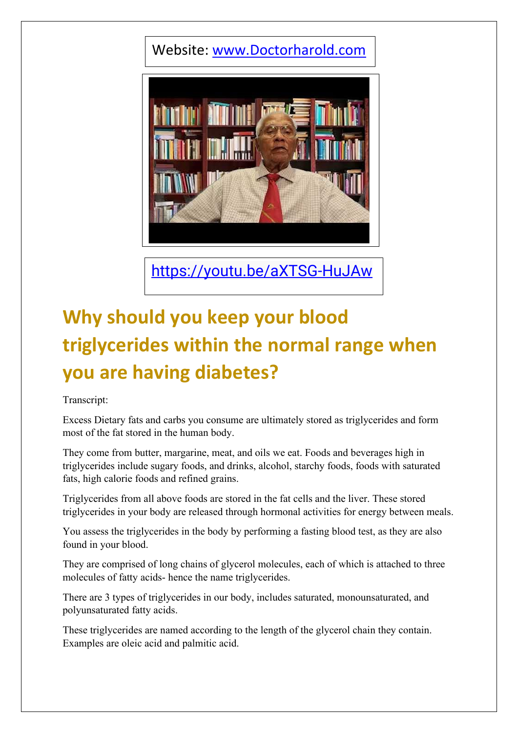## Website: [www.Doctorharold.com](http://www.doctorharold.com/)



<https://youtu.be/aXTSG-HuJAw>

## **Why should you keep your blood triglycerides within the normal range when you are having diabetes?**

Transcript:

Excess Dietary fats and carbs you consume are ultimately stored as triglycerides and form most of the fat stored in the human body.

They come from butter, margarine, meat, and oils we eat. Foods and beverages high in triglycerides include sugary foods, and drinks, alcohol, starchy foods, foods with saturated fats, high calorie foods and refined grains.

Triglycerides from all above foods are stored in the fat cells and the liver. These stored triglycerides in your body are released through hormonal activities for energy between meals.

You assess the triglycerides in the body by performing a fasting blood test, as they are also found in your blood.

They are comprised of long chains of glycerol molecules, each of which is attached to three molecules of fatty acids- hence the name triglycerides.

There are 3 types of triglycerides in our body, includes saturated, monounsaturated, and polyunsaturated fatty acids.

These triglycerides are named according to the length of the glycerol chain they contain. Examples are oleic acid and palmitic acid.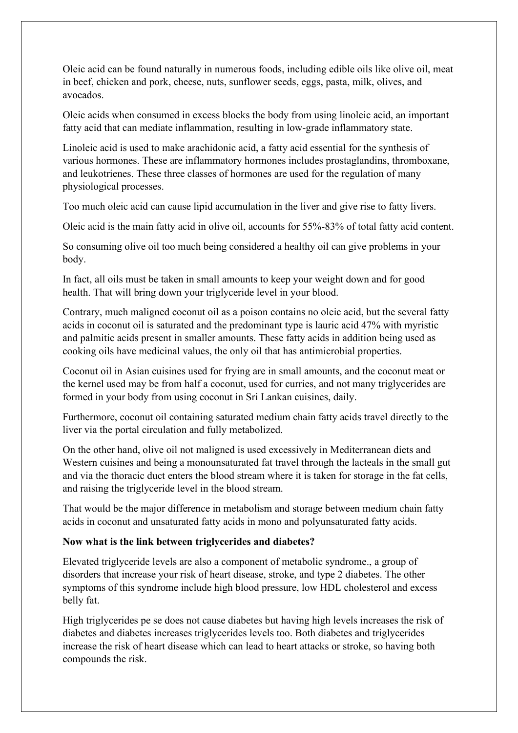Oleic acid can be found naturally in numerous foods, including edible oils like olive oil, meat in beef, chicken and pork, cheese, nuts, sunflower seeds, eggs, pasta, milk, olives, and avocados.

Oleic acids when consumed in excess blocks the body from using linoleic acid, an important fatty acid that can mediate inflammation, resulting in low-grade inflammatory state.

Linoleic acid is used to make arachidonic acid, a fatty acid essential for the synthesis of various hormones. These are inflammatory hormones includes prostaglandins, thromboxane, and leukotrienes. These three classes of hormones are used for the regulation of many physiological processes.

Too much oleic acid can cause lipid accumulation in the liver and give rise to fatty livers.

Oleic acid is the main fatty acid in olive oil, accounts for 55%-83% of total fatty acid content.

So consuming olive oil too much being considered a healthy oil can give problems in your body.

In fact, all oils must be taken in small amounts to keep your weight down and for good health. That will bring down your triglyceride level in your blood.

Contrary, much maligned coconut oil as a poison contains no oleic acid, but the several fatty acids in coconut oil is saturated and the predominant type is lauric acid 47% with myristic and palmitic acids present in smaller amounts. These fatty acids in addition being used as cooking oils have medicinal values, the only oil that has antimicrobial properties.

Coconut oil in Asian cuisines used for frying are in small amounts, and the coconut meat or the kernel used may be from half a coconut, used for curries, and not many triglycerides are formed in your body from using coconut in Sri Lankan cuisines, daily.

Furthermore, coconut oil containing saturated medium chain fatty acids travel directly to the liver via the portal circulation and fully metabolized.

On the other hand, olive oil not maligned is used excessively in Mediterranean diets and Western cuisines and being a monounsaturated fat travel through the lacteals in the small gut and via the thoracic duct enters the blood stream where it is taken for storage in the fat cells, and raising the triglyceride level in the blood stream.

That would be the major difference in metabolism and storage between medium chain fatty acids in coconut and unsaturated fatty acids in mono and polyunsaturated fatty acids.

## **Now what is the link between triglycerides and diabetes?**

Elevated triglyceride levels are also a component of metabolic syndrome., a group of disorders that increase your risk of heart disease, stroke, and type 2 diabetes. The other symptoms of this syndrome include high blood pressure, low HDL cholesterol and excess belly fat.

High triglycerides pe se does not cause diabetes but having high levels increases the risk of diabetes and diabetes increases triglycerides levels too. Both diabetes and triglycerides increase the risk of heart disease which can lead to heart attacks or stroke, so having both compounds the risk.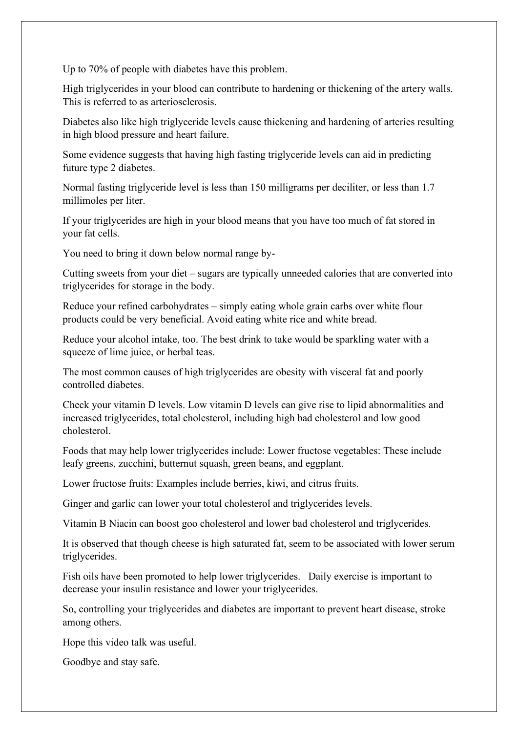Up to 70% of people with diabetes have this problem.

High triglycerides in your blood can contribute to hardening or thickening of the artery walls. This is referred to as arteriosclerosis.

Diabetes also like high triglyceride levels cause thickening and hardening of arteries resulting in high blood pressure and heart failure.

Some evidence suggests that having high fasting triglyceride levels can aid in predicting future type 2 diabetes.

Normal fasting triglyceride level is less than 150 milligrams per deciliter, or less than 1.7 millimoles per liter.

If your triglycerides are high in your blood means that you have too much of fat stored in your fat cells.

You need to bring it down below normal range by-

Cutting sweets from your diet – sugars are typically unneeded calories that are converted into triglycerides for storage in the body.

Reduce your refined carbohydrates – simply eating whole grain carbs over white flour products could be very beneficial. Avoid eating white rice and white bread.

Reduce your alcohol intake, too. The best drink to take would be sparkling water with a squeeze of lime juice, or herbal teas.

The most common causes of high triglycerides are obesity with visceral fat and poorly controlled diabetes.

Check your vitamin D levels. Low vitamin D levels can give rise to lipid abnormalities and increased triglycerides, total cholesterol, including high bad cholesterol and low good cholesterol.

Foods that may help lower triglycerides include: Lower fructose vegetables: These include leafy greens, zucchini, butternut squash, green beans, and eggplant.

Lower fructose fruits: Examples include berries, kiwi, and citrus fruits.

Ginger and garlic can lower your total cholesterol and triglycerides levels.

Vitamin B Niacin can boost goo cholesterol and lower bad cholesterol and triglycerides.

It is observed that though cheese is high saturated fat, seem to be associated with lower serum triglycerides.

Fish oils have been promoted to help lower triglycerides. Daily exercise is important to decrease your insulin resistance and lower your triglycerides.

So, controlling your triglycerides and diabetes are important to prevent heart disease, stroke among others.

Hope this video talk was useful.

Goodbye and stay safe.